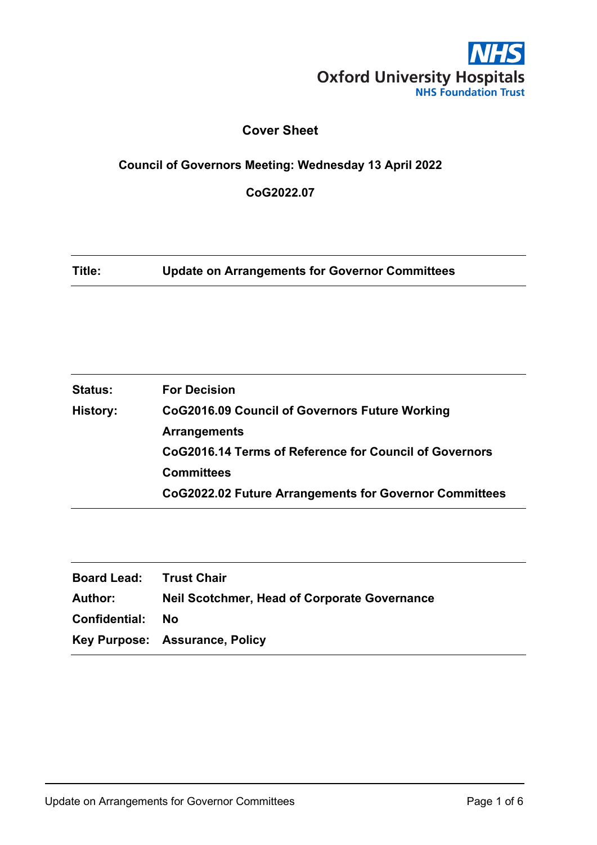

# **Cover Sheet**

# **Council of Governors Meeting: Wednesday 13 April 2022**

**CoG2022.07**

**Title: Update on Arrangements for Governor Committees**

| <b>Status:</b>  | <b>For Decision</b>                                    |
|-----------------|--------------------------------------------------------|
| <b>History:</b> | CoG2016.09 Council of Governors Future Working         |
|                 | <b>Arrangements</b>                                    |
|                 | CoG2016.14 Terms of Reference for Council of Governors |
|                 | <b>Committees</b>                                      |
|                 | CoG2022.02 Future Arrangements for Governor Committees |

| <b>Board Lead: Trust Chair</b> |                                                     |
|--------------------------------|-----------------------------------------------------|
| <b>Author:</b>                 | <b>Neil Scotchmer, Head of Corporate Governance</b> |
| Confidential:                  | No.                                                 |
|                                | Key Purpose: Assurance, Policy                      |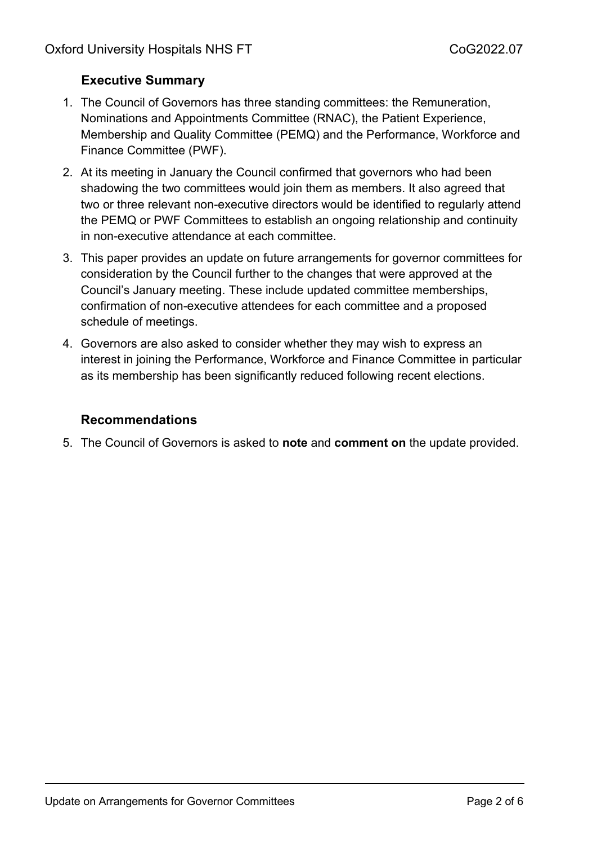# **Executive Summary**

- 1. The Council of Governors has three standing committees: the Remuneration, Nominations and Appointments Committee (RNAC), the Patient Experience, Membership and Quality Committee (PEMQ) and the Performance, Workforce and Finance Committee (PWF).
- 2. At its meeting in January the Council confirmed that governors who had been shadowing the two committees would join them as members. It also agreed that two or three relevant non-executive directors would be identified to regularly attend the PEMQ or PWF Committees to establish an ongoing relationship and continuity in non-executive attendance at each committee.
- 3. This paper provides an update on future arrangements for governor committees for consideration by the Council further to the changes that were approved at the Council's January meeting. These include updated committee memberships, confirmation of non-executive attendees for each committee and a proposed schedule of meetings.
- 4. Governors are also asked to consider whether they may wish to express an interest in joining the Performance, Workforce and Finance Committee in particular as its membership has been significantly reduced following recent elections.

# **Recommendations**

5. The Council of Governors is asked to **note** and **comment on** the update provided.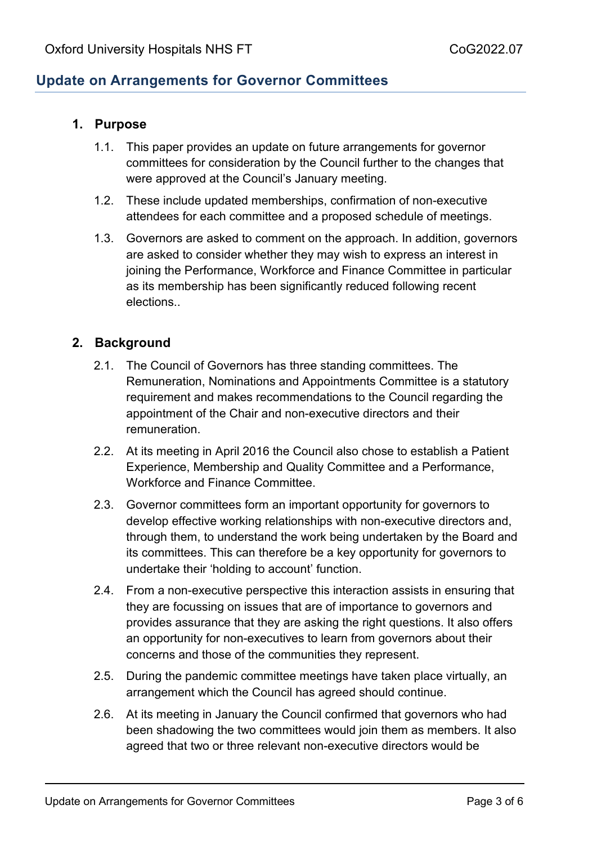# **Update on Arrangements for Governor Committees**

#### **1. Purpose**

- 1.1. This paper provides an update on future arrangements for governor committees for consideration by the Council further to the changes that were approved at the Council's January meeting.
- 1.2. These include updated memberships, confirmation of non-executive attendees for each committee and a proposed schedule of meetings.
- 1.3. Governors are asked to comment on the approach. In addition, governors are asked to consider whether they may wish to express an interest in joining the Performance, Workforce and Finance Committee in particular as its membership has been significantly reduced following recent elections..

#### **2. Background**

- 2.1. The Council of Governors has three standing committees. The Remuneration, Nominations and Appointments Committee is a statutory requirement and makes recommendations to the Council regarding the appointment of the Chair and non-executive directors and their remuneration.
- 2.2. At its meeting in April 2016 the Council also chose to establish a Patient Experience, Membership and Quality Committee and a Performance, Workforce and Finance Committee.
- 2.3. Governor committees form an important opportunity for governors to develop effective working relationships with non-executive directors and, through them, to understand the work being undertaken by the Board and its committees. This can therefore be a key opportunity for governors to undertake their 'holding to account' function.
- 2.4. From a non-executive perspective this interaction assists in ensuring that they are focussing on issues that are of importance to governors and provides assurance that they are asking the right questions. It also offers an opportunity for non-executives to learn from governors about their concerns and those of the communities they represent.
- 2.5. During the pandemic committee meetings have taken place virtually, an arrangement which the Council has agreed should continue.
- 2.6. At its meeting in January the Council confirmed that governors who had been shadowing the two committees would join them as members. It also agreed that two or three relevant non-executive directors would be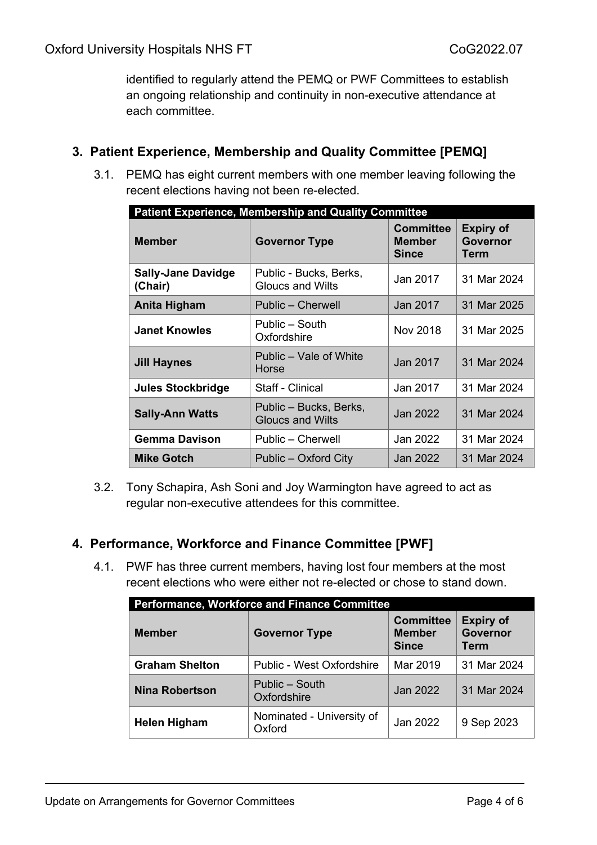identified to regularly attend the PEMQ or PWF Committees to establish an ongoing relationship and continuity in non-executive attendance at each committee.

### **3. Patient Experience, Membership and Quality Committee [PEMQ]**

3.1. PEMQ has eight current members with one member leaving following the recent elections having not been re-elected.

| <b>Patient Experience, Membership and Quality Committee</b> |                                                   |                                                   |                                      |
|-------------------------------------------------------------|---------------------------------------------------|---------------------------------------------------|--------------------------------------|
| <b>Member</b>                                               | <b>Governor Type</b>                              | <b>Committee</b><br><b>Member</b><br><b>Since</b> | <b>Expiry of</b><br>Governor<br>Term |
| <b>Sally-Jane Davidge</b><br>(Chair)                        | Public - Bucks, Berks,<br><b>Gloucs and Wilts</b> | Jan 2017                                          | 31 Mar 2024                          |
| Anita Higham                                                | Public – Cherwell                                 | Jan 2017                                          | 31 Mar 2025                          |
| <b>Janet Knowles</b>                                        | Public – South<br>Oxfordshire                     | Nov 2018                                          | 31 Mar 2025                          |
| <b>Jill Haynes</b>                                          | Public – Vale of White<br>Horse                   | Jan 2017                                          | 31 Mar 2024                          |
| <b>Jules Stockbridge</b>                                    | Staff - Clinical                                  | Jan 2017                                          | 31 Mar 2024                          |
| <b>Sally-Ann Watts</b>                                      | Public - Bucks, Berks,<br><b>Gloucs and Wilts</b> | Jan 2022                                          | 31 Mar 2024                          |
| <b>Gemma Davison</b>                                        | Public – Cherwell                                 | Jan 2022                                          | 31 Mar 2024                          |
| Mike Gotch                                                  | Public – Oxford City                              | Jan 2022                                          | 31 Mar 2024                          |

3.2. Tony Schapira, Ash Soni and Joy Warmington have agreed to act as regular non-executive attendees for this committee.

#### **4. Performance, Workforce and Finance Committee [PWF]**

4.1. PWF has three current members, having lost four members at the most recent elections who were either not re-elected or chose to stand down.

| <b>Performance, Workforce and Finance Committee</b> |                                     |                                                   |                                      |
|-----------------------------------------------------|-------------------------------------|---------------------------------------------------|--------------------------------------|
| <b>Member</b>                                       | <b>Governor Type</b>                | <b>Committee</b><br><b>Member</b><br><b>Since</b> | <b>Expiry of</b><br>Governor<br>Term |
| <b>Graham Shelton</b>                               | Public - West Oxfordshire           | Mar 2019                                          | 31 Mar 2024                          |
| <b>Nina Robertson</b>                               | Public – South<br>Oxfordshire       | Jan 2022                                          | 31 Mar 2024                          |
| <b>Helen Higham</b>                                 | Nominated - University of<br>Oxford | Jan 2022                                          | 9 Sep 2023                           |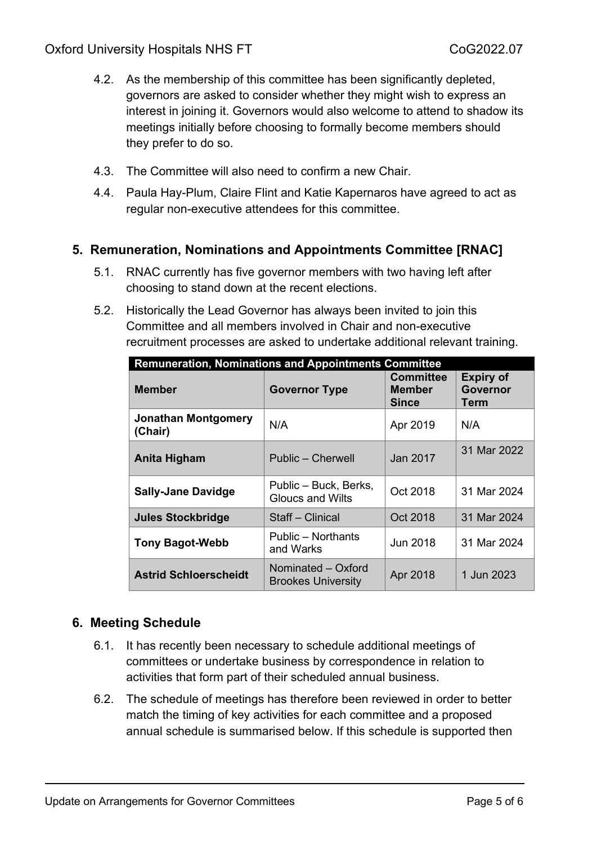- 4.2. As the membership of this committee has been significantly depleted, governors are asked to consider whether they might wish to express an interest in joining it. Governors would also welcome to attend to shadow its meetings initially before choosing to formally become members should they prefer to do so.
- 4.3. The Committee will also need to confirm a new Chair.
- 4.4. Paula Hay-Plum, Claire Flint and Katie Kapernaros have agreed to act as regular non-executive attendees for this committee.

# **5. Remuneration, Nominations and Appointments Committee [RNAC]**

- 5.1. RNAC currently has five governor members with two having left after choosing to stand down at the recent elections.
- 5.2. Historically the Lead Governor has always been invited to join this Committee and all members involved in Chair and non-executive recruitment processes are asked to undertake additional relevant training.

| <b>Remuneration, Nominations and Appointments Committee</b> |                                                  |                                            |                                             |
|-------------------------------------------------------------|--------------------------------------------------|--------------------------------------------|---------------------------------------------|
| <b>Member</b>                                               | <b>Governor Type</b>                             | <b>Committee</b><br>Member<br><b>Since</b> | <b>Expiry of</b><br><b>Governor</b><br>Term |
| <b>Jonathan Montgomery</b><br>(Chair)                       | N/A                                              | Apr 2019                                   | N/A                                         |
| Anita Higham                                                | Public – Cherwell                                | Jan 2017                                   | 31 Mar 2022                                 |
| <b>Sally-Jane Davidge</b>                                   | Public - Buck, Berks,<br><b>Gloucs and Wilts</b> | Oct 2018                                   | 31 Mar 2024                                 |
| <b>Jules Stockbridge</b>                                    | Staff - Clinical                                 | Oct 2018                                   | 31 Mar 2024                                 |
| <b>Tony Bagot-Webb</b>                                      | Public – Northants<br>and Warks                  | Jun 2018                                   | 31 Mar 2024                                 |
| <b>Astrid Schloerscheidt</b>                                | Nominated - Oxford<br><b>Brookes University</b>  | Apr 2018                                   | 1 Jun 2023                                  |

# **6. Meeting Schedule**

- 6.1. It has recently been necessary to schedule additional meetings of committees or undertake business by correspondence in relation to activities that form part of their scheduled annual business.
- 6.2. The schedule of meetings has therefore been reviewed in order to better match the timing of key activities for each committee and a proposed annual schedule is summarised below. If this schedule is supported then